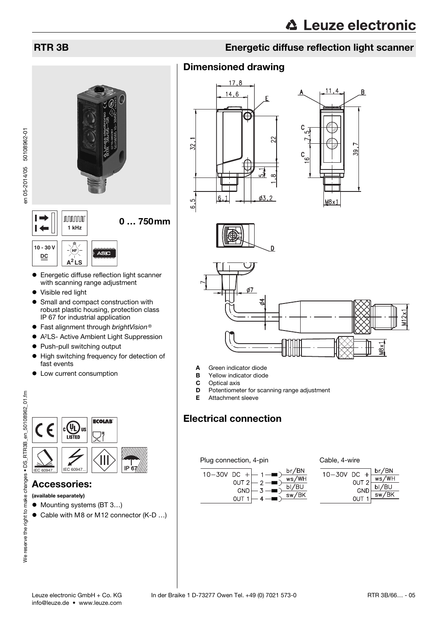# **nnnnn** 0 … 750mm **1 kHz**



Visible red light

**10 - 30 V DC**

 $\vdash$ 

 $\overline{\phantom{0}}$ 

en 05-2014/05 50108962-01

en 05-2014/05 50108962-01

- Small and compact construction with robust plastic housing, protection class IP 67 for industrial application
- Fast alignment through brightVision<sup>®</sup>
- A2LS- Active Ambient Light Suppression
- Push-pull switching output
- $\bullet$  High switching frequency for detection of fast events
- $\bullet$  Low current consumption



### Accessories:

(available separately)

- Mounting systems (BT 3...)
- Cable with M8 or M12 connector (K-D ...)

# RTR 3B Energetic diffuse reflection light scanner

## Dimensioned drawing









- A Green indicator diode
- **B** Yellow indicator diode<br>**C** Optical axis
- Optical axis
- **D** Potentiometer for scanning range adjustment
- E Attachment sleeve

# Electrical connection

#### Plug connection, 4-pin Cable, 4-wire



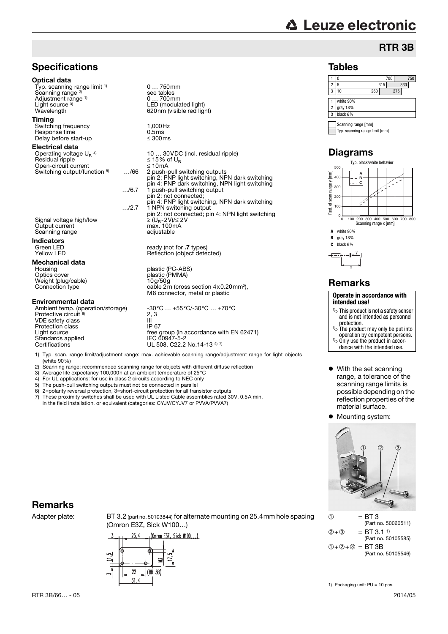# **∆ Leuze electronic**

Tables

## **Specifications**

#### Optical data

Typ. scanning range limit <sup>1)</sup> Scanning range<sup>2)</sup> Adjustment range 1) Light source  $3$ )<br>Wavelength

#### Timing

Switching frequency 1,000Hz<br>
Response time 1.5 ms Response time  $\frac{1}{2}$  0.5ms Delay before start-up

Electrical data Operating voltage  $U_B$ <sup>4)</sup>  $Residual$  ripple  $\leq 15\%$  of UBS of UBS of UBS of UBS of UBS of UBS of UBS of UBS of UBS of UBS of UBS of UBS of UBS of UBS of UBS of UBS of UBS of UBS of UBS of UBS of UBS of UBS of UBS of UBS of UBS of UBS of UBS of UBS of Open-circuit current<br>Switching output/function <sup>5</sup> 10m/66 Switching output/function 5)

Signal voltage high/low Output current max. 100m<br>
Scanning range adjustable<br>
adjustable Scanning range

**Indicators**<br>Green LED

**Mechanical data**<br>Housing Housing plastic (PC-ABS) Weight (plug/cable)<br>Connection type

#### Environmental data

Protective circuit <sup>6)</sup> VDE safety class III<br>Protection class III III Protection class<br>Light source Eight course<br>Standards applied<br>Certifications

0... 700mm<br>LED (modulated light) 620nm (visible red light) 10 ... 30 VDC (incl. residual ripple)  $\leq$  15% of U<sub>B</sub> 2 push-pull switching outputs pin 2: PNP light switching, NPN dark switching pin 4: PNP dark switching, NPN light switching …/6.7 1 push-pull switching output pin 2: not connected; pin 4: PNP light switching, NPN dark switching …/2.7 1 NPN switching output pin 2: not connected; pin 4: NPN light switching

Green LED ready (not for .7 types)<br>Tellow LED ready ready ready (not for .7 types) Reflection (object detected)

0 … 750mm

see tables

plastic (PMMA)<br>10g/50g cable  $2m$  (cross section  $4 \times 0.20$  mm<sup>2</sup>), M8 connector, metal or plastic

Ambient temp. (operation/storage)  $-30^{\circ}\text{C} \dots +55^{\circ}\text{C}$ /-30°C  $\dots +70^{\circ}\text{C}$  $2, 3$ free group (in accordance with EN 62471)<br>IEC 60947-5-2 UL 508, C22.2 No.14-13 4) 7)

1) Typ. scan. range limit/adjustment range: max. achievable scanning range/adjustment range for light objects (white 90%)

- 2) Scanning range: recommended scanning range for objects with different diffuse reflection<br>3) Average life expectancy 100.000h at an ambient temperature of  $25^{\circ}$ C
- 3) Average life expectancy 100,000h at an ambient temperature of 25°C
- 4) For UL applications: for use in class 2 circuits according to NEC only<br>5) The push-pull switching outputs must not be connected in parallel
- 
- 5) The push-pull switching outputs must not be connected in parallel<br> $\beta$ )  $2 =$ polarity reversal protection. 3=short-circuit protection for all tran 6) 2=polarity reversal protection, 3=short-circuit protection for all transistor outputs
- 7) These proximity switches shall be used with UL Listed Cable assemblies rated 30V, 0.5A min, in the field installation, or equivalent (categories: CYJV/CYJV7 or PVVA/PVVA7)

# Remarks

Adapter plate: BT 3.2 (part no. 50103844) for alternate mounting on 25.4mm hole spacing (Omron E3Z, Sick W100…)





1 0 700 750 2 | 5 315 330 3 10 260 275

RTR 3B

# Remarks

x



- With the set scanning range, a tolerance of the scanning range limits is possible depending on the reflection properties of the material surface.
- Mounting system:





1) Packaging unit: PU = 10 pcs.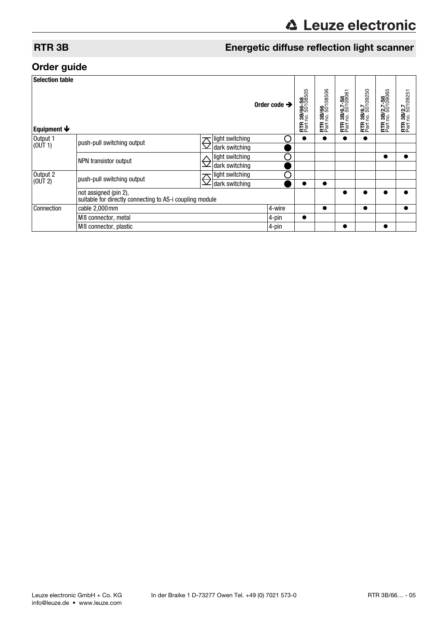# RTR 3B Energetic diffuse reflection light scanner

# Order guide

| <b>Selection table</b>    |                                                                                   |            |                 |                          |                                       |                                                           |                                                 |                                               |                                                 |                                                           |
|---------------------------|-----------------------------------------------------------------------------------|------------|-----------------|--------------------------|---------------------------------------|-----------------------------------------------------------|-------------------------------------------------|-----------------------------------------------|-------------------------------------------------|-----------------------------------------------------------|
| Equipment $\blacklozenge$ |                                                                                   |            |                 | Order code $\rightarrow$ | 3B/66-S8<br>no.50108505<br><b>RTR</b> | 08506<br>3B/66<br><sup>10.501</sup><br><b>RTR</b><br>Part | 3B/6.7-S8<br>no. 50109061<br><b>RTR</b><br>Part | 13B/6.7<br>no. 50109250<br><b>RTR</b><br>Part | 13B/2.7-S8<br>no.50109065<br><b>RTR</b><br>Part | $\mathbf$<br>3B/2.7<br>no. 50109251<br><b>RTR</b><br>Part |
| Output 1<br>(OUT 1)       | push-pull switching output                                                        | $\bm{\pi}$ | light switching |                          |                                       |                                                           |                                                 |                                               |                                                 |                                                           |
|                           |                                                                                   |            | dark switching  |                          |                                       |                                                           |                                                 |                                               |                                                 |                                                           |
|                           | NPN transistor output                                                             |            | light switching |                          |                                       |                                                           |                                                 |                                               |                                                 |                                                           |
|                           |                                                                                   |            | dark switching  |                          |                                       |                                                           |                                                 |                                               |                                                 |                                                           |
| Output 2<br>(OUT 2)       | push-pull switching output                                                        | $\bm{\pi}$ | light switching |                          |                                       |                                                           |                                                 |                                               |                                                 |                                                           |
|                           |                                                                                   |            | dark switching  |                          |                                       |                                                           |                                                 |                                               |                                                 |                                                           |
|                           | not assigned (pin 2),<br>suitable for directly connecting to AS-i coupling module |            |                 |                          |                                       |                                                           |                                                 |                                               |                                                 |                                                           |
| Connection                | cable 2,000 mm                                                                    |            |                 | 4-wire                   |                                       | ●                                                         |                                                 |                                               |                                                 | О                                                         |
|                           | M8 connector, metal                                                               |            |                 | 4-pin                    |                                       |                                                           |                                                 |                                               |                                                 |                                                           |
|                           | M8 connector, plastic                                                             |            |                 | 4-pin                    |                                       |                                                           |                                                 |                                               |                                                 |                                                           |